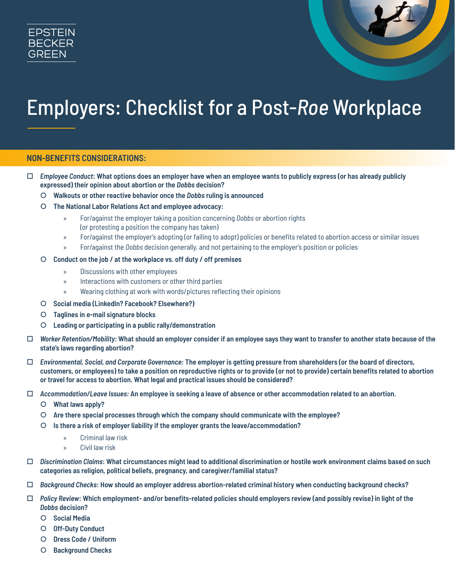



# Employers: Checklist for a Post-*Roe* Workplace

## **NON-BENEFITS CONSIDERATIONS:**

- *Employee Conduct***: What options does an employer have when an employee wants to publicly express (or has already publicly expressed) their opinion about abortion or the** *Dobbs* **decision?** 
	- | **Walkouts or other reactive behavior once the** *Dobbs* **ruling is announced**
	- | **The National Labor Relations Act and employee advocacy:** 
		- » For/against the employer taking a position concerning *Dobbs* or abortion rights (or protesting a position the company has taken)
		- » For/against the employer's adopting (or failing to adopt) policies or benefits related to abortion access or similar issues
		- » For/against the *Dobbs* decision generally, and not pertaining to the employer's position or policies

#### | **Conduct on the job / at the workplace vs. off duty / off premises**

- » Discussions with other employees
- » Interactions with customers or other third parties
- » Wearing clothing at work with words/pictures reflecting their opinions
- | **Social media (LinkedIn? Facebook? Elsewhere?)**
- | **Taglines in e-mail signature blocks**
- | **Leading or participating in a public rally/demonstration**
- *Worker Retention/Mobility:* **What should an employer consider if an employee says they want to transfer to another state because of the state's laws regarding abortion?**
- *Environmental, Social, and Corporate Governance:* **The employer is getting pressure from shareholders (or the board of directors, customers, or employees) to take a position on reproductive rights or to provide (or not to provide) certain benefits related to abortion or travel for access to abortion. What legal and practical issues should be considered?**
- *Accommodation/Leave Issues:* **An employee is seeking a leave of absence or other accommodation related to an abortion.** 
	- | **What laws apply?**
	- | **Are there special processes through which the company should communicate with the employee?**
	- | **Is there a risk of employer liability if the employer grants the leave/accommodation?**
		- » Criminal law risk
		- » Civil law risk
- *Discrimination Claims***: What circumstances might lead to additional discrimination or hostile work environment claims based on such categories as religion, political beliefs, pregnancy, and caregiver/familial status?**
- *Background Checks***: How should an employer address abortion-related criminal history when conducting background checks?**
- *Policy Review***: Which employment- and/or benefits-related policies should employers review (and possibly revise) in light of the**  *Dobbs* **decision?** 
	- | **Social Media**
	- | **Off-Duty Conduct**
	- | **Dress Code / Uniform**
	- | **Background Checks**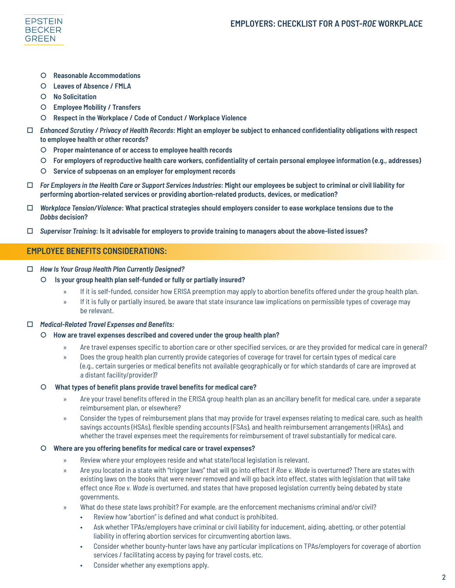

- | **Reasonable Accommodations**
- | **Leaves of Absence / FMLA**
- | **No Solicitation**
- | **Employee Mobility / Transfers**
- | **Respect in the Workplace / Code of Conduct / Workplace Violence**
- *Enhanced Scrutiny / Privacy of Health Records***: Might an employer be subject to enhanced confidentiality obligations with respect to employee health or other records?** 
	- | **Proper maintenance of or access to employee health records**
	- | **For employers of reproductive health care workers, confidentiality of certain personal employee information (e.g., addresses)**
	- | **Service of subpoenas on an employer for employment records**
- *For Employers in the Health Care or Support Services Industries***: Might our employees be subject to criminal or civil liability for performing abortion-related services or providing abortion-related products, devices, or medication?**
- *Workplace Tension/Violence***: What practical strategies should employers consider to ease workplace tensions due to the**  *Dobbs* **decision?**
- *Supervisor Training***: Is it advisable for employers to provide training to managers about the above-listed issues?**

## **EMPLOYEE BENEFITS CONSIDERATIONS:**

- *How Is Your Group Health Plan Currently Designed?*
	- | **Is your group health plan self-funded or fully or partially insured?** 
		- » If it is self-funded, consider how ERISA preemption may apply to abortion benefits offered under the group health plan.
		- » If it is fully or partially insured, be aware that state insurance law implications on permissible types of coverage may be relevant.

## *Medical-Related Travel Expenses and Benefits:*

- | **How are travel expenses described and covered under the group health plan?** 
	- » Are travel expenses specific to abortion care or other specified services, or are they provided for medical care in general?
	- » Does the group health plan currently provide categories of coverage for travel for certain types of medical care (e.g., certain surgeries or medical benefits not available geographically or for which standards of care are improved at a distant facility/provider)?

## | **What types of benefit plans provide travel benefits for medical care?**

- » Are your travel benefits offered in the ERISA group health plan as an ancillary benefit for medical care, under a separate reimbursement plan, or elsewhere?
- » Consider the types of reimbursement plans that may provide for travel expenses relating to medical care, such as health savings accounts (HSAs), flexible spending accounts (FSAs), and health reimbursement arrangements (HRAs), and whether the travel expenses meet the requirements for reimbursement of travel substantially for medical care.

## | **Where are you offering benefits for medical care or travel expenses?**

- » Review where your employees reside and what state/local legislation is relevant.
- » Are you located in a state with "trigger laws" that will go into effect if *Roe v. Wade* is overturned? There are states with existing laws on the books that were never removed and will go back into effect, states with legislation that will take effect once *Roe v. Wade* is overturned, and states that have proposed legislation currently being debated by state governments.
- » What do these state laws prohibit? For example, are the enforcement mechanisms criminal and/or civil?
	- Review how "abortion" is defined and what conduct is prohibited.
	- Ask whether TPAs/employers have criminal or civil liability for inducement, aiding, abetting, or other potential liability in offering abortion services for circumventing abortion laws.
	- Consider whether bounty-hunter laws have any particular implications on TPAs/employers for coverage of abortion services / facilitating access by paying for travel costs, etc.
	- Consider whether any exemptions apply.